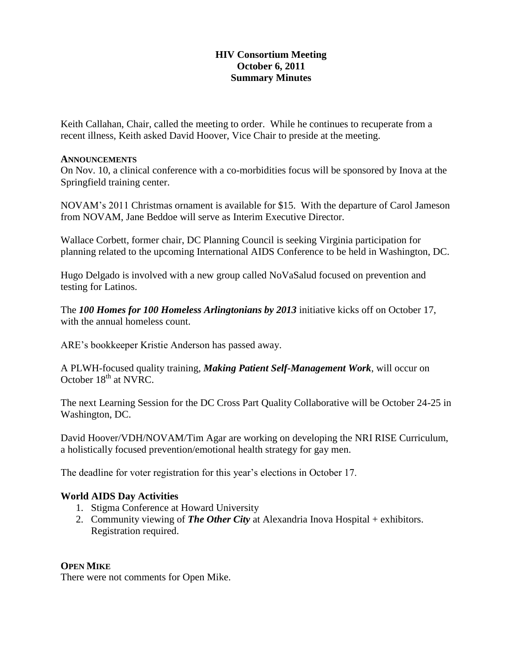## **HIV Consortium Meeting October 6, 2011 Summary Minutes**

Keith Callahan, Chair, called the meeting to order. While he continues to recuperate from a recent illness, Keith asked David Hoover, Vice Chair to preside at the meeting.

#### **ANNOUNCEMENTS**

On Nov. 10, a clinical conference with a co-morbidities focus will be sponsored by Inova at the Springfield training center.

NOVAM's 2011 Christmas ornament is available for \$15. With the departure of Carol Jameson from NOVAM, Jane Beddoe will serve as Interim Executive Director.

Wallace Corbett, former chair, DC Planning Council is seeking Virginia participation for planning related to the upcoming International AIDS Conference to be held in Washington, DC.

Hugo Delgado is involved with a new group called NoVaSalud focused on prevention and testing for Latinos.

The *100 Homes for 100 Homeless Arlingtonians by 2013* initiative kicks off on October 17, with the annual homeless count.

ARE's bookkeeper Kristie Anderson has passed away.

A PLWH-focused quality training, *Making Patient Self-Management Work*, will occur on October 18<sup>th</sup> at NVRC.

The next Learning Session for the DC Cross Part Quality Collaborative will be October 24-25 in Washington, DC.

David Hoover/VDH/NOVAM/Tim Agar are working on developing the NRI RISE Curriculum, a holistically focused prevention/emotional health strategy for gay men.

The deadline for voter registration for this year's elections in October 17.

## **World AIDS Day Activities**

- 1. Stigma Conference at Howard University
- 2. Community viewing of *The Other City* at Alexandria Inova Hospital + exhibitors. Registration required.

### **OPEN MIKE**

There were not comments for Open Mike.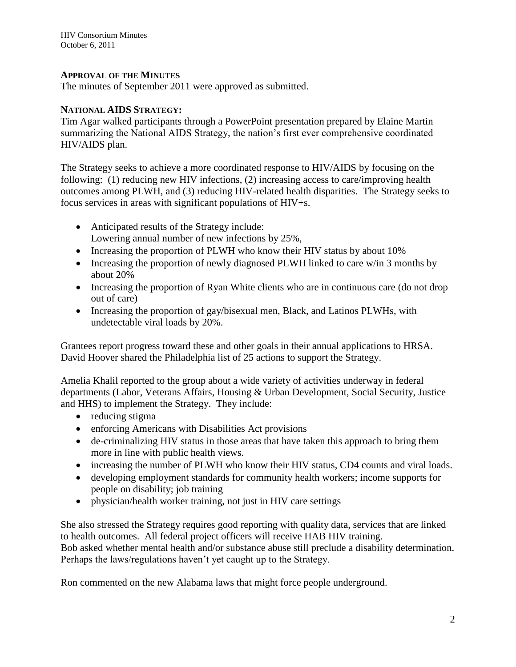HIV Consortium Minutes October 6, 2011

### **APPROVAL OF THE MINUTES**

The minutes of September 2011 were approved as submitted.

### **NATIONAL AIDS STRATEGY:**

Tim Agar walked participants through a PowerPoint presentation prepared by Elaine Martin summarizing the National AIDS Strategy, the nation's first ever comprehensive coordinated HIV/AIDS plan.

The Strategy seeks to achieve a more coordinated response to HIV/AIDS by focusing on the following: (1) reducing new HIV infections, (2) increasing access to care/improving health outcomes among PLWH, and (3) reducing HIV-related health disparities. The Strategy seeks to focus services in areas with significant populations of HIV+s.

- Anticipated results of the Strategy include: Lowering annual number of new infections by 25%,
- Increasing the proportion of PLWH who know their HIV status by about 10%
- Increasing the proportion of newly diagnosed PLWH linked to care w/in 3 months by about 20%
- Increasing the proportion of Ryan White clients who are in continuous care (do not drop out of care)
- Increasing the proportion of gay/bisexual men, Black, and Latinos PLWHs, with undetectable viral loads by 20%.

Grantees report progress toward these and other goals in their annual applications to HRSA. David Hoover shared the Philadelphia list of 25 actions to support the Strategy.

Amelia Khalil reported to the group about a wide variety of activities underway in federal departments (Labor, Veterans Affairs, Housing & Urban Development, Social Security, Justice and HHS) to implement the Strategy. They include:

- reducing stigma
- enforcing Americans with Disabilities Act provisions
- de-criminalizing HIV status in those areas that have taken this approach to bring them more in line with public health views.
- increasing the number of PLWH who know their HIV status, CD4 counts and viral loads.
- developing employment standards for community health workers; income supports for people on disability; job training
- physician/health worker training, not just in HIV care settings

She also stressed the Strategy requires good reporting with quality data, services that are linked to health outcomes. All federal project officers will receive HAB HIV training. Bob asked whether mental health and/or substance abuse still preclude a disability determination. Perhaps the laws/regulations haven't yet caught up to the Strategy.

Ron commented on the new Alabama laws that might force people underground.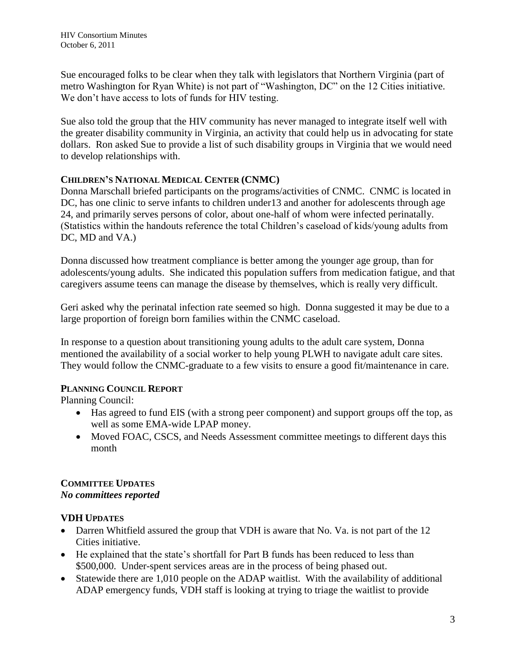Sue encouraged folks to be clear when they talk with legislators that Northern Virginia (part of metro Washington for Ryan White) is not part of "Washington, DC" on the 12 Cities initiative. We don't have access to lots of funds for HIV testing.

Sue also told the group that the HIV community has never managed to integrate itself well with the greater disability community in Virginia, an activity that could help us in advocating for state dollars. Ron asked Sue to provide a list of such disability groups in Virginia that we would need to develop relationships with.

# **CHILDREN'S NATIONAL MEDICAL CENTER (CNMC)**

Donna Marschall briefed participants on the programs/activities of CNMC. CNMC is located in DC, has one clinic to serve infants to children under 13 and another for adolescents through age 24, and primarily serves persons of color, about one-half of whom were infected perinatally. (Statistics within the handouts reference the total Children's caseload of kids/young adults from DC, MD and VA.)

Donna discussed how treatment compliance is better among the younger age group, than for adolescents/young adults. She indicated this population suffers from medication fatigue, and that caregivers assume teens can manage the disease by themselves, which is really very difficult.

Geri asked why the perinatal infection rate seemed so high. Donna suggested it may be due to a large proportion of foreign born families within the CNMC caseload.

In response to a question about transitioning young adults to the adult care system, Donna mentioned the availability of a social worker to help young PLWH to navigate adult care sites. They would follow the CNMC-graduate to a few visits to ensure a good fit/maintenance in care.

## **PLANNING COUNCIL REPORT**

Planning Council:

- Has agreed to fund EIS (with a strong peer component) and support groups off the top, as well as some EMA-wide LPAP money.
- Moved FOAC, CSCS, and Needs Assessment committee meetings to different days this month

## **COMMITTEE UPDATES** *No committees reported*

## **VDH UPDATES**

- Darren Whitfield assured the group that VDH is aware that No. Va. is not part of the 12 Cities initiative.
- He explained that the state's shortfall for Part B funds has been reduced to less than \$500,000. Under-spent services areas are in the process of being phased out.
- Statewide there are 1,010 people on the ADAP waitlist. With the availability of additional ADAP emergency funds, VDH staff is looking at trying to triage the waitlist to provide